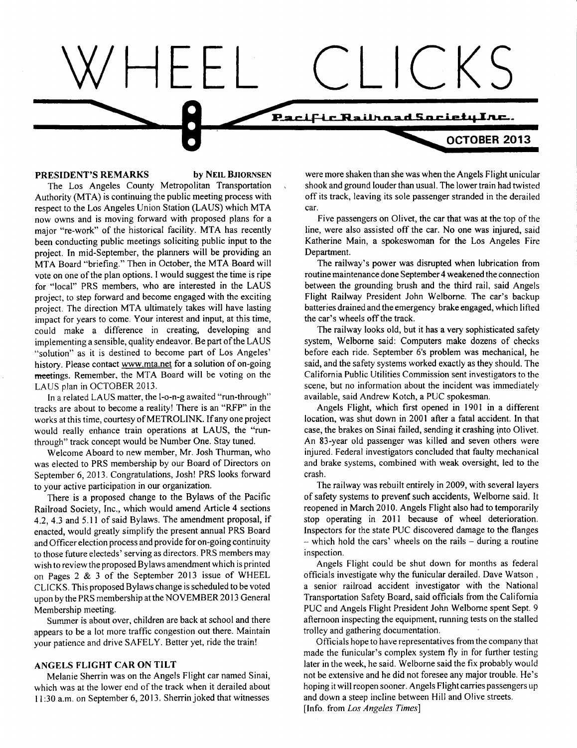# **Pacific Railhoad Society Inc.**

**PRESIDENT'S REMARKS** by NEIL BJIORNSEN

The Los Angeles County Metropolitan Transportation Authority (MTA) is continuing the public meeting process with respect to the Los Angeles Union Station (LAUS) which MTA now owns and is moving forward with proposed plans for a major "re-work" of the historical facility. MTA has recently been conducting public meetings soliciting public input to the project. In mid-September, the planners will be providing an MTA Board "briefing." Then in October, the MTA Board will vote on one of the plan options. I would suggest the time is ripe for "local" PRS members, who are interested in the LAUS project, to step forward and become engaged with the exciting project. The direction MTA ultimately takes will have lasting impact for years to come. Your interest and input, at this time, could make a difference in creating, developing and implementing a sensible, quality endeavor. Be part of the LAUS "solution" as it is destined to become part of Los Angeles' history. Please contact www.mta.net for a solution of on-going meetings. Remember, the MTA Board will be voting on the LAUS plan in OCTOBER 2013.

In a related LAUS matter, the 1-o-n-g awaited "run-through" tracks are about to become a reality! There is an "RFP" in the works at this time, courtesy of METROLINK. If any one project would really enhance train operations at LAUS, the "runthrough" track concept would be Number One. Stay tuned.

Welcome Aboard to new member, Mr. Josh Thurman, who was elected to PRS membership by our Board of Directors on September 6, 2013. Congratulations, Josh! PRS looks forward to your active participation in our organization.

There is a proposed change to the Bylaws of the Pacific Railroad Society, Inc., which would amend Article 4 sections 4.2, 4.3 and 5.11 of said Bylaws. The amendment proposal, if enacted, would greatly simplify the present annual PRS Board and Officer election process and provide for on-going continuity to those future electeds' serving as directors. PRS members may wish to review the proposed Bylaws amendment which is printed on Pages 2 & 3 of the September 2013 issue of WHEEL CLICKS. This proposed Bylaws change is scheduled to be voted upon by the PRS membership at the NOVEMBER 2013 General Membership meeting.

Summer is about over, children are back at school and there appears to be a lot more traffic congestion out there. Maintain your patience and drive SAFELY. Better yet, ride the train!

#### **ANGELS FLIGHT CAR ON TILT**

Melanie Sherrin was on the Angels Flight car named Sinai, which was at the lower end of the track when it derailed about 11:30 a.m. on September 6, 2013. Sherrin joked that witnesses

were more shaken than she was when the Angels Flight unicular shook and ground louder than usual. The lower train had twisted off its track, leaving its sole passenger stranded in the derailed car.

 $CKS$ 

**OCTOBER 2013** 

Five passengers on Olivet, the car that was at the top of the line, were also assisted off the car. No one was injured, said Katherine Main, a spokeswoman for the Los Angeles Fire Department.

The railway's power was disrupted when lubrication from routine maintenance done September 4 weakened the connection between the grounding brush and the third rail, said Angels Flight Railway President John Welborne. The car's backup batteries drained and the emergency brake engaged, which lifted the car's wheels off the track.

The railway looks old, but it has a very sophisticated safety system, Welborne said: Computers make dozens of checks before each ride. September 6's problem was mechanical, he said, and the safety systems worked exactly as they should. The California Public Utilities Commission sent investigators to the scene, but no information about the incident was immediately available, said Andrew Kotch, a PUC spokesman.

Angels Flight, which first opened in 1901 in a different location, was shut down in 2001 after a fatal accident. In that case, the brakes on Sinai failed, sending it crashing into Olivet. An 83-year old passenger was killed and seven others were injured. Federal investigators concluded that faulty mechanical and brake systems, combined with weak oversight, led to the crash.

The railway was rebuilt entirely in 2009, with several layers of safety systems to prevent such accidents, Welborne said. It reopened in March 2010. Angels Flight also had to temporarily stop operating in 2011 because of wheel deterioration. Inspectors for the state PUC discovered damage to the flanges  $-$  which hold the cars' wheels on the rails  $-$  during a routine inspection.

Angels Flight could be shut down for months as federal officials investigate why the funicular derailed. Dave Watson , a senior railroad accident investigator with the National Transportation Safety Board, said officials from the California PUC and Angels Flight President John Welborne spent Sept. 9 afternoon inspecting the equipment, running tests on the stalled trolley and gathering documentation.

Officials hope to have representatives from the company that made the funicular's complex system fly in for further testing later in the week, he said. Welborne said the fix probably would not be extensive and he did not foresee any major trouble. He's hoping it will reopen sooner. Angels Flight carries passengers up and down a steep incline between Hill and Olive streets. [Info. from *Los Angeles Times]*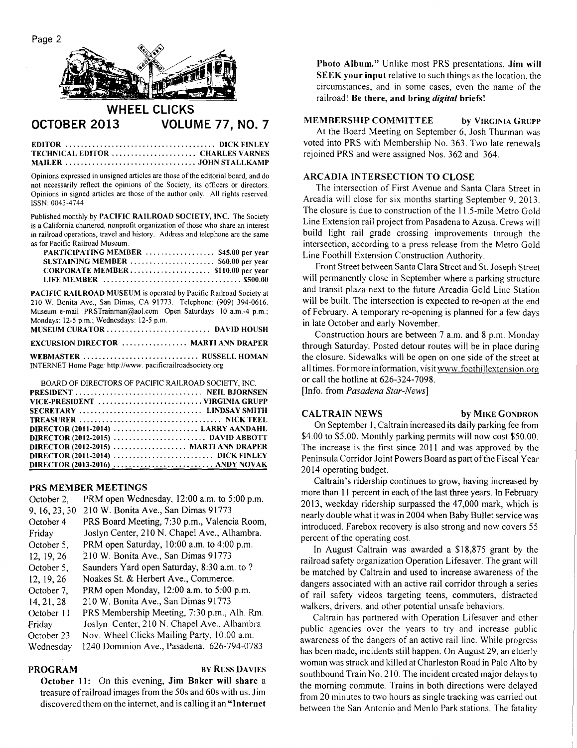Page 2



## **WHEEL CLICKS OCTOBER 2013 VOLUME 77, NO. 7**

#### EDITOR DICK FINLEY TECHNICAL EDITOR ........................ CHARLES VARNES MAILER JOHN STALLKAMP

Opinions expressed in unsigned articles are those of the editorial board, and do not necessarily reflect the opinions of the Society, its officers or directors. Opinions in signed articles are those of the author only. All rights reserved. ISSN: 0043-4744.

Published monthly by PACIFIC RAILROAD SOCIETY, INC. The Society is a California chartered, nonprofit organization of those who share an interest in railroad operations, travel and history. Address and telephone are the same as for Pacific Railroad Museum.

| PARTICIPATING MEMBER  \$45.00 per year |  |
|----------------------------------------|--|
| SUSTAINING MEMBER  \$60.00 per year    |  |
|                                        |  |
|                                        |  |

PACIFIC RAILROAD MUSEUM is operated by Pacific Railroad Society at 210 W. Bonita Ave., San Dimas, CA 91773. Telephone: (909) 394-0616. Museum e-mail: PRSTrainman@aol.com Open Saturdays: 10 a.m.-4 p.m.; Mondays: 12-5 p.m.; Wednesdays: 12-5 p.m.

| <b>EXCURSION DIRECTOR  MARTI ANN DRAPER</b> |  |
|---------------------------------------------|--|

WEBMASTER ................................. RUSSELL HOMAN INTERNET Home Page: http://www. pacificrailroadsociety.org

| BOARD OF DIRECTORS OF PACIFIC RAILROAD SOCIETY. INC. |
|------------------------------------------------------|
|                                                      |
|                                                      |
| SECRETARY  LINDSAY SMITH                             |
|                                                      |
| DIRECTOR $(2011-2014)$ LARRY AANDAHL                 |
|                                                      |
| <b>DIRECTOR (2012-2015)  MARTI ANN DRAPER</b>        |
|                                                      |
|                                                      |

#### **PRS MEMBER MEETINGS**

| October 2,    | PRM open Wednesday, 12:00 a.m. to 5:00 p.m.  |
|---------------|----------------------------------------------|
| 9, 16, 23, 30 | 210 W. Bonita Ave., San Dimas 91773          |
| October 4     | PRS Board Meeting, 7:30 p.m., Valencia Room, |
| Friday        | Joslyn Center, 210 N. Chapel Ave., Alhambra. |
| October 5,    | PRM open Saturday, 10:00 a.m. to 4:00 p.m.   |
| 12, 19, 26    | 210 W. Bonita Ave., San Dimas 91773          |
| October 5,    | Saunders Yard open Saturday, 8:30 a.m. to ?  |
| 12, 19, 26    | Noakes St. & Herbert Ave., Commerce.         |
| October 7.    | PRM open Monday, 12:00 a.m. to 5:00 p.m.     |
| 14, 21, 28    | 210 W. Bonita Ave., San Dimas 91773          |
| October 11    | PRS Membership Meeting, 7:30 p.m., Alh. Rm.  |
| Friday        | Joslyn Center, 210 N. Chapel Ave., Alhambra  |
| October 23    | Nov. Wheel Clicks Mailing Party, 10:00 a.m.  |
| Wednesday     | 1240 Dominion Ave., Pasadena. 626-794-0783   |

**PROGRAM BY RUSS DAVIES** 

**October 11:** On this evening, **Jim Baker will share** a treasure of railroad images from the 50s and 60s with us. Jim discovered them on the internet, and is calling it an **"Internet** 

**Photo Album."** Unlike most PRS presentations, **Jim will SEEK your input relative to such things as the location, the** circumstances, and in some cases, even the name of the railroad! **Be there, and bring** *digital* **briefs!** 

#### **MEMBERSHIP COMMITTEE by** VIRGINIA GRUPP

At the Board Meeting on September 6, Josh Thurman was voted into PRS with Membership No. 363. Two late renewals rejoined PRS and were assigned Nos. 362 and 364.

### **ARCADIA INTERSECTION TO CLOSE**

The intersection of First Avenue and Santa Clara Street in Arcadia will close for six months starting September 9, 2013. The closure is due to construction of the 11.5-mile Metro Gold Line Extension rail project from Pasadena to Azusa. Crews will build light rail grade crossing improvements through the intersection, according to a press release from the Metro Gold Line Foothill Extension Construction Authority.

Front Street between Santa Clara Street and St. Joseph Street will permanently close in September where a parking structure and transit plaza next to the future Arcadia Gold Line Station will be built. The intersection is expected to re-open at the end of February. A temporary re-opening is planned for a few days in late October and early November.

Construction hours are between 7 a.m. and 8 p.m. Monday through Saturday. Posted detour routes will be in place during the closure. Sidewalks will be open on one side of the street at all times. For more information, visit www.foothillextension.org or call the hotline at 626-324-7098.

[Info. from *Pasadena Star-News]* 

#### **CALTRAIN NEWS by** MIKE GONDRON

On September 1, Caltrain increased its daily parking fee from \$4.00 to \$5.00. Monthly parking permits will now cost \$50.00. The increase is the first since 2011 and was approved by the Peninsula Corridor Joint Powers Board as part of the Fiscal Year 2014 operating budget.

Caltrain's ridership continues to grow, having increased by more than 11 percent in each of the last three years. In February 2013, weekday ridership surpassed the 47,000 mark, which is nearly double what it was in 2004 when Baby Bullet service was introduced. Farebox recovery is also strong and now covers 55 percent of the operating cost.

In August Caltrain was awarded a \$18,875 grant by the railroad safety organization Operation Lifesaver. The grant will be matched by Caltrain and used to increase awareness of the dangers associated with an active rail corridor through a series of rail safety videos targeting teens, commuters, distracted walkers, drivers. and other potential unsafe behaviors.

Caltrain has partnered with Operation Lifesaver and other public agencies over the years to try and increase public awareness of the dangers of an active rail line. While progress has been made, incidents still happen. On August 29, an elderly woman was struck and killed at Charleston Road in Palo Alto by southbound Train No. 210. The incident created major delays to the morning commute. Trains in both directions were delayed from 20 minutes to two hours as single tracking was carried out between the San Antonio and Menlo Park stations. The fatality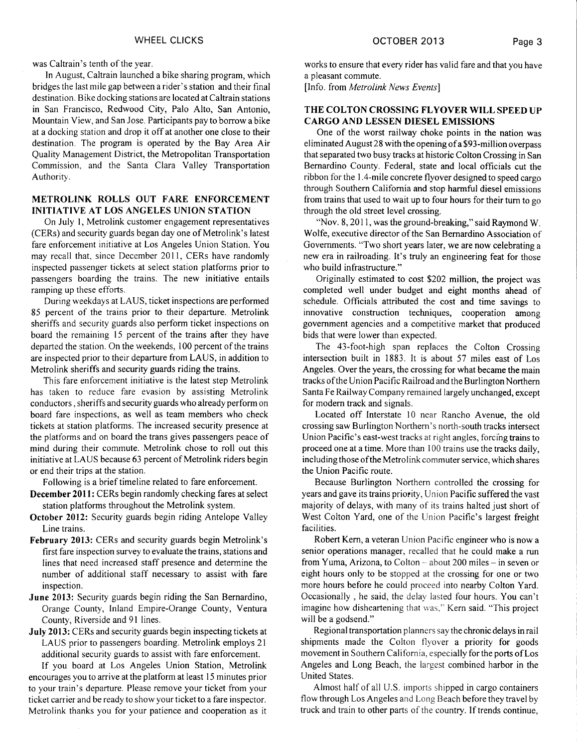was Caltrain's tenth of the year.

In August, Caltrain launched a bike sharing program, which bridges the last mile gap between a rider's station and their final destination. Bike docking stations are located at Caltrain stations in San Francisco, Redwood City, Palo Alto, San Antonio, Mountain View, and San Jose. Participants pay to borrow a bike at a docking station and drop it off at another one close to their destination. The program is operated by the Bay Area Air Quality Management District, the Metropolitan Transportation Commission, and the Santa Clara Valley Transportation Authority.

#### **METROLINK ROLLS OUT FARE ENFORCEMENT INITIATIVE AT LOS ANGELES UNION STATION**

On July I, Metrolink customer engagement representatives (CERs) and security guards began day one of Metrolink's latest fare enforcement initiative at Los Angeles Union Station. You may recall that, since December 2011, CERs have randomly inspected passenger tickets at select station platforms prior to passengers boarding the trains. The new initiative entails ramping up these efforts.

During weekdays at LAUS, ticket inspections are performed 85 percent of the trains prior to their departure. Metrolink sheriffs and security guards also perform ticket inspections on board the remaining 15 percent of the trains after they have departed the station. On the weekends, 100 percent of the trains are inspected prior to their departure from LAUS, in addition to Metrolink sheriffs and security guards riding the trains.

This fare enforcement initiative is the latest step Metrolink has taken to reduce fare evasion by assisting Metrolink conductors , sheriffs and security guards who already perform on board fare inspections, as well as team members who check tickets at station platforms. The increased security presence at the platforms and on board the trans gives passengers peace of mind during their commute. Metrolink chose to roll out this initiative at LAUS because 63 percent of Metrolink riders begin or end their trips at the station.

Following is a brief timeline related to fare enforcement.

December 2011: CERs begin randomly checking fares at select station platforms throughout the Metrolink system.

- October 2012: Security guards begin riding Antelope Valley Line trains.
- **February 2013:** CERs and security guards begin Metrolink's first fare inspection survey to evaluate the trains, stations and lines that need increased staff presence and determine the number of additional staff necessary to assist with fare inspection.
- June 2013: Security guards begin riding the San Bernardino, Orange County, Inland Empire-Orange County, Ventura County, Riverside and 91 lines.
- July 2013: CERs and security guards begin inspecting tickets at LAUS prior to passengers boarding. Metrolink employs 21 additional security guards to assist with fare enforcement.

If you board at Los Angeles Union Station, Metrolink encourages you to arrive at the platform at least 15 minutes prior to your train's departure. Please remove your ticket from your ticket carrier and be ready to show your ticket to a fare inspector. Metrolink thanks you for your patience and cooperation as it works to ensure that every rider has valid fare and that you have a pleasant commute.

[Info. from *Metrolink News Events]* 

#### **THE COLTON CROSSING FLYOVER WILL SPEED UP CARGO AND LESSEN DIESEL EMISSIONS**

One of the worst railway choke points in the nation was eliminated August 28 with the opening of a \$93-million overpass that separated two busy tracks at historic Colton Crossing in San Bernardino County. Federal, state and local officials cut the ribbon for the 1.4-mile concrete flyover designed to speed cargo through Southern California and stop harmful diesel emissions from trains that used to wait up to four hours for their turn to go through the old street level crossing.

"Nov. 8, 2011, was the ground-breaking," said Raymond W. Wolfe, executive director of the San Bernardino Association of Governments. "Two short years later, we are now celebrating a new era in railroading. It's truly an engineering feat for those who build infrastructure."

Originally estimated to cost \$202 million, the project was completed well under budget and eight months ahead of schedule. Officials attributed the cost and time savings to innovative construction techniques, cooperation among government agencies and a competitive market that produced bids that were lower than expected.

The 43-foot-high span replaces the Colton Crossing intersection built in 1883. It is about 57 miles east of Los Angeles. Over the years, the crossing for what became **the** main tracks of the Union Pacific Railroad and the Burlington Northern Santa Fe Railway Company remained largely unchanged, except for modern track and signals.

Located off Interstate 10 near Rancho Avenue, the old crossing saw Burlington Northern's north-south tracks intersect Union Pacific's east-west tracks at right angles, forcing trains to proceed one at a time. More than 100 trains use the tracks daily, including those of the Metrolink commuter service, which shares the Union Pacific route.

Because Burlington Northern controlled the crossing for years and gave its trains priority, Union Pacific suffered the vast majority of delays, with many of its trains halted just short of West Colton Yard, one of the Union Pacific's largest freight facilities.

Robert Kern, a veteran Union Pacific engineer who is now a senior operations manager, recalled that he could make a run from Yuma, Arizona, to Colton — about 200 miles — in seven or eight hours only to be stopped at the crossing for one or two more hours before he could proceed into nearby Colton Yard. Occasionally , he said, the delay lasted four hours. You can't imagine how disheartening that was," Kern said. "This project will be a godsend."

Regional transportation planners say the chronic delays in rail shipments made the Colton flyover a priority for goods movement in Southern California, especially for the ports of Los Angeles and Long Beach, the largest combined harbor in the United States.

Almost half of all U.S. imports shipped in cargo containers flow through Los Angeles and Long Beach before they travel by truck and train to other parts of the country. If trends continue,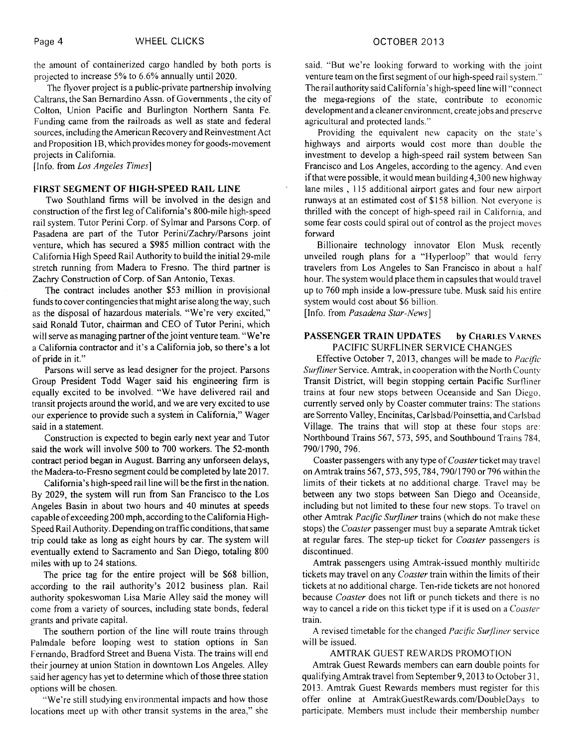the amount of containerized cargo handled by both ports is projected to increase 5% to 6.6% annually until 2020.

The flyover project is a public-private partnership involving Caltrans, the San Bernardino Assn. of Governments , the city of Colton, Union Pacific and Burlington Northern Santa Fe. Funding came from the railroads as well as state and federal sources, including the American Recovery and Reinvestment Act and Proposition 1B, which provides money for goods-movement projects in California.

[Info. from *Los Angeles Times]* 

#### FIRST SEGMENT OF HIGH-SPEED RAIL LINE

Two Southland firms will be involved in the design and construction of the first leg of California's 800-mile high-speed rail system. Tutor Perini Corp. of Sylmar and Parsons Corp. of Pasadena are part of the Tutor Perini/Zachry/Parsons joint venture, which has secured a \$985 million contract with the California High Speed Rail Authority to build the initial 29-mile stretch running from Madera to Fresno. The third partner is Zachry Construction of Corp. of San Antonio, Texas.

The contract includes another \$53 million in provisional funds to cover contingencies that might arise along the way, such as the disposal of hazardous materials. "We're very excited," said Ronald Tutor, chairman and CEO of Tutor Perini, which will serve as managing partner of the joint venture team. "We're a California contractor and it's a California job, so there's a lot of pride in it."

Parsons will serve as lead designer for the project. Parsons Group President Todd Wager said his engineering firm is equally excited to be involved. "We have delivered rail and transit projects around the world, and we are very excited to use our experience to provide such a system in California," Wager said in a statement.

Construction is expected to begin early next year and Tutor said the work will involve 500 to 700 workers. The 52-month contract period began in August. Barring any unforseen delays, the Madera-to-Fresno segment could be completed by late 2017.

California's high-speed rail line will be the first in the nation. By 2029, the system will run from San Francisco to the Los Angeles Basin in about two hours and 40 minutes at speeds capable of exceeding 200 mph, according to the California High-Speed Rail Authority. Depending on traffic conditions, that same trip could take as long as eight hours by car. The system will eventually extend to Sacramento and San Diego, totaling 800 miles with up to 24 stations.

The price tag for the entire project will be \$68 billion, according to the rail authority's 2012 business plan. Rail authority spokeswoman Lisa Marie Alley said the money will come from a variety of sources, including state bonds, federal grants and private capital.

The southern portion of the line will route trains through Palmdale before looping west to station options in San Fernando, Bradford Street and Buena Vista. The trains will end their journey at union Station in downtown Los Angeles. Alley said her agency has yet to determine which of those three station options will be chosen.

"We're still studying environmental impacts and how those locations meet up with other transit systems in the area," she

said. "But we're looking forward to working with the joint venture team on the first segment of our high-speed rail system." The rail authority said California's high-speed line will "connect the mega-regions of the state, contribute to economic development and a cleaner environment, create jobs and preserve agricultural and protected lands."

Providing the equivalent new capacity on the state's highways and airports would cost more than double the investment to develop a high-speed rail system between San Francisco and Los Angeles, according to the agency. And even if that were possible, it would mean building 4,300 new highway lane miles , 115 additional airport gates and four new airport runways at an estimated cost of \$158 billion. Not everyone is thrilled with the concept of high-speed rail in California, and some fear costs could spiral out of control as the project moves forward

Billionaire technology innovator Elon Musk recently unveiled rough plans for a "Hyperloop" that would ferry travelers from Los Angeles to San Francisco in about a half hour. The system would place them in capsules that would travel up to 760 mph inside a low-pressure tube. Musk said his entire system would cost about \$6 billion.

[Info. from *Pasadena Star-News]* 

#### PASSENGER TRAIN UPDATES by CHARLES VARNES PACIFIC SURFLINER SERVICE CHANGES

Effective October 7, 2013, changes will be made to *Pacific Surfliner* Service. Amtrak, in cooperation with the North County Transit District, will begin stopping certain Pacific Surfliner trains at four new stops between Oceanside and San Diego, currently served only by Coaster commuter trains: The stations are Sorrento Valley, Encinitas, Carlsbad/Poinsettia, and Carlsbad Village. The trains that will stop at these four stops are: Northbound Trains 567, 573, 595, and Southbound Trains 784, 790/1790, 796.

Coaster passengers with any type of *Coaster* ticket may travel on Amtrak trains 567, 573, 595, 784, 790/1790 or 796 within the limits of their tickets at no additional charge. Travel may be between any two stops between San Diego and Oceanside, including but not limited to these four new stops. To travel on other Amtrak *Pacific Surfliner* trains (which do not make these stops) the *Coaster* passenger must buy a separate Amtrak ticket at regular fares. The step-up ticket for *Coaster* passengers is discontinued.

Amtrak passengers using Amtrak-issued monthly multiride tickets may travel on any *Coaster* train within the limits of their tickets at no additional charge. Ten-ride tickets are not honored because *Coaster* does not lift or punch tickets and there is no way to cancel a ride on this ticket type if it is used on a *Coaster*  train.

A revised timetable for the changed *Pacific Surfliner* service will be issued.

#### AMTRAK GUEST REWARDS PROMOTION

Amtrak Guest Rewards members can earn double points for qualifying Amtrak travel from September 9, 2013 to October 31, 2013. Amtrak Guest Rewards members must register for this offer online at AmtrakGuestRewards.com/DoubleDays to participate. Members must include their membership number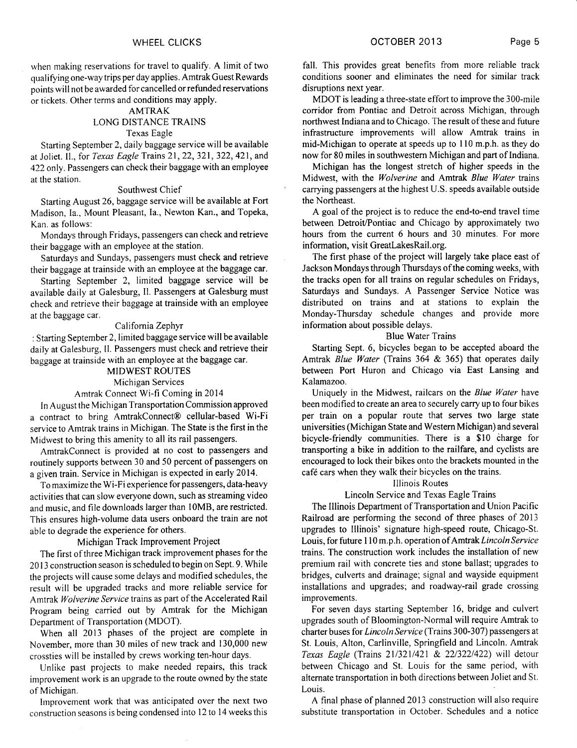when making reservations for travel to qualify. A limit of two qualifying one-way trips per day applies. Amtrak Guest Rewards points will not be awarded for cancelled or refunded reservations or tickets. Other terms and conditions may apply.

#### AMTRAK

#### LONG DISTANCE TRAINS Texas Eagle

Starting September 2, daily baggage service will be available at Joliet. II., for *Texas Eagle* Trains 21, 22, 321, 322, 421, and 422 only. Passengers can check their baggage with an employee at the station.

#### Southwest Chief

Starting August 26, baggage service will be available at Fort Madison, Ia., Mount Pleasant, Ia., Newton Kan., and Topeka, Kan. as follows:

Mondays through Fridays, passengers can check and retrieve their baggage with an employee at the station.

Saturdays and Sundays, passengers must check and retrieve their baggage at trainside with an employee at the baggage car.

Starting September 2, limited baggage service will be available daily at Galesburg, II. Passengers at Galesburg must check and retrieve their baggage at trainside with an employee at the baggage car.

#### California Zephyr

: Starting September 2, limited baggage service will be available daily at Galesburg, II. Passengers must check and retrieve their baggage at trainside with an employee at the baggage car.

#### MIDWEST ROUTES

#### Michigan Services

#### Amtrak Connect Wi-fi Coming in 2014

In August the Michigan Transportation Commission approved a contract to bring AmtrakConnect® cellular-based Wi-Fi service to Amtrak trains in Michigan. The State is the first in the Midwest to bring this amenity to all its rail passengers.

AmtrakConnect is provided at no cost to passengers and routinely supports between 30 and 50 percent of passengers on a given train. Service in Michigan is expected in early 2014.

To maximize the Wi-Fi experience for passengers, data-heavy activities that can slow everyone down, such as streaming video and music, and file downloads larger than 10MB, are restricted. This ensures high-volume data users onboard the train are not able to degrade the experience for others.

#### Michigan Track Improvement Project

The first of three Michigan track improvement phases for the 2013 construction season is scheduled to begin on Sept. 9. While the projects will cause some delays and modified schedules, the result will be upgraded tracks and more reliable service for Amtrak *Wolverine Service* trains as part of the Accelerated Rail Program being carried out by Amtrak for the Michigan Department of Transportation (MDOT).

When all 2013 phases of the project are complete in November, more than 30 miles of new track and 130,000 new crossties will be installed by crews working ten-hour days.

Unlike past projects to make needed repairs, this track improvement work is an upgrade to the route owned by the state of Michigan.

Improvement work that was anticipated over the next two construction seasons is being condensed into 12 to 14 weeks this fall. This provides great benefits from more reliable track conditions sooner and eliminates the need for similar track disruptions next year.

MDOT is leading a three-state effort to improve the 300-mile corridor from Pontiac and Detroit across Michigan, through northwest Indiana and to Chicago. The result of these and future infrastructure improvements will allow Amtrak trains in mid-Michigan to operate at speeds up to 110 m.p.h. as they do now for 80 miles in southwestern Michigan and part of Indiana.

Michigan has the longest stretch of higher speeds in the Midwest, with the *Wolverine* and Amtrak *Blue Water* trains carrying passengers at the highest U.S. speeds available outside the Northeast.

A goal of the project is to reduce the end-to-end travel time between Detroit/Pontiac and Chicago by approximately two hours from the current 6 hours and 30 minutes. For more information, visit GreatLakesRail.org.

The first phase of the project will largely take place east of Jackson Mondays through Thursdays of the coming weeks, with the tracks open for all trains on regular schedules on Fridays, Saturdays and Sundays. A Passenger Service Notice was distributed on trains and at stations to explain the Monday-Thursday schedule changes and provide more information about possible delays.

#### Blue Water Trains

Starting Sept. 6, bicycles began to be accepted aboard the Amtrak *Blue Water* (Trains 364 & 365) that operates daily between Port Huron and Chicago via East Lansing and Kalamazoo.

Uniquely in the Midwest, railcars on the *Blue Water* have been modified to create an area to securely carry up to four bikes per train on a popular route that serves two large state universities (Michigan State and Western Michigan) and several bicycle-friendly communities. There is a \$10 charge for transporting a bike in addition to the railfare, and cyclists are encouraged to lock their bikes onto the brackets mounted in the café cars when they walk their bicycles on the trains.

### Illinois Routes

#### Lincoln Service and Texas Eagle Trains

The Illinois Department of Transportation and Union Pacific Railroad are performing the second of three phases of 2013 upgrades to Illinois' signature high-speed route, Chicago-St. Louis, for future 110 m.p.h. operation of Amtrak *Lincoln Service*  trains. The construction work includes the installation of new premium rail with concrete ties and stone ballast; upgrades to bridges, culverts and drainage; signal and wayside equipment installations and upgrades; and roadway-rail grade crossing improvements.

For seven days starting September 16, bridge and culvert upgrades south of Bloomington-Normal will require Amtrak to charter buses for *Lincoln Service* (Trains 300-307) passengers at St. Louis, Alton, Carlinville, Springfield and Lincoln. Amtrak *Texas Eagle* (Trains 21/321/421 & 22/322/422) will detour between Chicago and St. Louis for the same period, with alternate transportation in both directions between Joliet and St. Louis.

A final phase of planned 2013 construction will also require substitute transportation in October. Schedules and a notice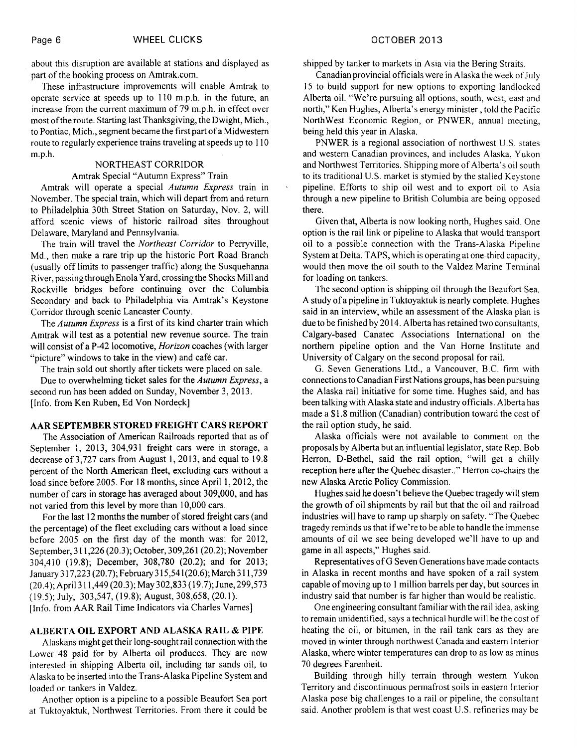about this disruption are available at stations and displayed as part of the booking process on Amtrak.com.

These infrastructure improvements will enable Amtrak to operate service at speeds up to 110 m.p.h. in the future, an increase from the current maximum of 79 m.p.h. in effect over most of the route. Starting last Thanksgiving, the Dwight, Mich., to Pontiac, Mich., segment became the first part of a Midwestern route to regularly experience trains traveling at speeds up to 110 m.p.h.

#### NORTHEAST CORRIDOR

#### Amtrak Special "Autumn Express" Train

Amtrak will operate a special *Autumn Express* train in November. The special train, which will depart from and return to Philadelphia 30th Street Station on Saturday, Nov. 2, will afford scenic views of historic railroad sites throughout Delaware, Maryland and Pennsylvania.

The train will travel the *Northeast Corridor* to Perryville, Md., then make a rare trip up the historic Port Road Branch (usually off limits to passenger traffic) along the Susquehanna River, passing through Enola Yard, crossing the Shocks Mill and Rockville bridges before continuing over the Columbia Secondary and back to Philadelphia via Amtrak's Keystone Corridor through scenic Lancaster County.

The *Autumn Express* is a first of its kind charter train which Amtrak will test as a potential new revenue source. The train will consist of a P-42 locomotive, *Horizon* coaches (with larger "picture" windows to take in the view) and café car.

The train sold out shortly after tickets were placed on sale.

Due to overwhelming ticket sales for the *Autumn Express,* a second run has been added on Sunday, November 3, 2013. [Info. from Ken Ruben, Ed Von Nordeck]

#### AAR SEPTEMBER STORED FREIGHT CARS REPORT

The Association of American Railroads reported that as of September 1, 2013, 304,931 freight cars were in storage, a decrease of 3,727 cars from August 1, 2013, and equal to 19.8 percent of the North American fleet, excluding cars without a load since before 2005. For 18 months, since April 1, 2012, the number of cars in storage has averaged about 309,000, and has not varied from this level by more than 10,000 cars.

For the last 12 months the number of stored freight cars (and the percentage) of the fleet excluding cars without a load since before 2005 on the first day of the month was: for 2012, September, 311,226 (20.3); October, 309,261(20.2); November 304,410 (19.8); December, 308,780 (20.2); and for 2013; January 317,223 (20.7); February 315,541(20.6); March 311,739 (20.4); April 311,449 (20.3); May 302,833 (19.7); June, 299,573 (19.5); July, 303,547, (19.8); August, 308,658, (20.1). [Info. from AAR Rail Time Indicators via Charles Varnes]

#### ALBERTA OIL EXPORT AND ALASKA RAIL & PIPE

Alaskans might get their long-sought rail connection with the Lower 48 paid for by Alberta oil produces. They are now interested in shipping Alberta oil, including tar sands oil, to Alaska to be inserted into the Trans-Alaska Pipeline System and loaded on tankers in Valdez.

Another option is a pipeline to a possible Beaufort Sea port at Tuktoyaktuk, Northwest Territories. From there it could be

shipped by tanker to markets in Asia via the Bering Straits.

Canadian provincial officials were in Alaska the week of July 15 to build support for new options to exporting landlocked Alberta oil. "We're pursuing all options, south, west, east and north," Ken Hughes, Alberta's energy minister , told the Pacific NorthWest Economic Region, or PNWER, annual meeting, being held this year in Alaska.

PNWER is a regional association of northwest U.S. states and western Canadian provinces, and includes Alaska, Yukon and Northwest Territories. Shipping more of Alberta's oil south to its traditional U.S. market is stymied by the stalled Keystone pipeline. Efforts to ship oil west and to export oil to Asia through a new pipeline to British Columbia are being opposed there.

Given that, Alberta is now looking north, Hughes said. One option is the rail link or pipeline to Alaska that would transport oil to a possible connection with the Trans-Alaska Pipeline System at Delta. TAPS, which is operating at one-third capacity, would then move the oil south to the Valdez Marine Terminal for loading on tankers.

The second option is shipping oil through the Beaufort Sea. A study of a pipeline in Tuktoyaktuk is nearly complete. Hughes said in an interview, while an assessment of the Alaska plan is due to be finished by 2014. Alberta has retained two consultants, Calgary-based Canatec Associations International on the northern pipeline option and the Van Horne Institute and University of Calgary on the second proposal for rail.

G. Seven Generations Ltd., a Vancouver, B.C. firm with connections to Canadian First Nations groups, has been pursuing the Alaska rail initiative for some time. Hughes said, and has been talking with Alaska state and industry officials. Alberta has made a \$1.8 million (Canadian) contribution toward the cost of the rail option study, he said.

Alaska officials were not available to comment on the proposals by Alberta but an influential legislator, state Rep. Bob Herron, D-Bethel, said the rail option, "will get a chilly reception here after the Quebec disaster.." Herron co-chairs the new Alaska Arctic Policy Commission.

Hughes said he doesn't believe the Quebec tragedy will stem the growth of oil shipments by rail but that the oil and railroad industries will have to ramp up sharply on safety. "The Quebec tragedy reminds us that if we're to be able to handle the immense amounts of oil we see being developed we'll have to up and game in all aspects," Hughes said.

Representatives of G Seven Generations have made contacts in Alaska in recent months and have spoken of a rail system capable of moving up to 1 million barrels per day, but sources in industry said that number is far higher than would be realistic.

One engineering consultant familiar with the rail idea, asking to remain unidentified, says a technical hurdle will be the cost of heating the oil, or bitumen, in the rail tank cars as they are moved in winter through northwest Canada and eastern Interior Alaska, where winter temperatures can drop to as low as minus 70 degrees Farenheit.

Building through hilly terrain through western Yukon Territory and discontinuous permafrost soils in eastern Interior Alaska pose big challenges to a rail or pipeline, the consultant said. Another problem is that west coast U.S. refineries may be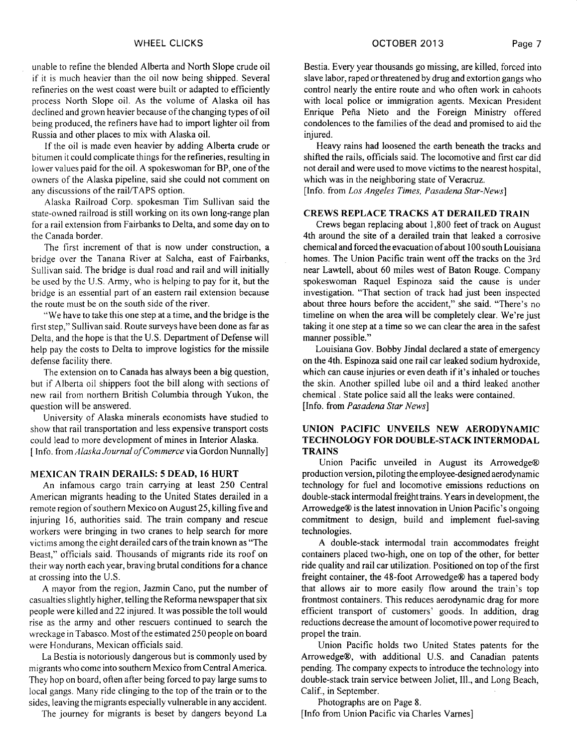unable to refine the blended Alberta and North Slope crude oil if it is much heavier than the oil now being shipped. Several refineries on the west coast were built or adapted to efficiently process North Slope oil. As the volume of Alaska oil has declined and grown heavier because of the changing types of oil being produced, the refiners have had to import lighter oil from Russia and other places to mix with Alaska oil.

If the oil is made even heavier by adding Alberta crude or bitumen it could complicate things for the refineries, resulting in lower values paid for the oil. A spokeswoman for BP, one of the owners of the Alaska pipeline, said she could not comment on any discussions of the rail/TAPS option.

Alaska Railroad Corp. spokesman Tim Sullivan said the state-owned railroad is still working on its own long-range plan for a rail extension from Fairbanks to Delta, and some day on to the Canada border.

The first increment of that is now under construction, a bridge over the Tanana River at Salcha, east of Fairbanks, Sullivan said. The bridge is dual road and rail and will initially be used by the U.S. Army, who is helping to pay for it, but the bridge is an essential part of an eastern rail extension because the route must be on the south side of the river.

"We have to take this one step at a time, and the bridge is the first step," Sullivan said. Route surveys have been done as far as Delta, and the hope is that the U.S. Department of Defense will help pay the costs to Delta to improve logistics for the missile defense facility there.

The extension on to Canada has always been a big question, but if Alberta oil shippers foot the bill along with sections of new rail from northern British Columbia through Yukon, the question will be answered.

University of Alaska minerals economists have studied to show that rail transportation and less expensive transport costs could lead to more development of mines in Interior Alaska. [ Info. from *Alaska Journal of Commerce* via Gordon Nunnally]

#### MEXICAN TRAIN DERAILS: 5 DEAD, 16 HURT

An infamous cargo train carrying at least 250 Central American migrants heading to the United States derailed in a remote region of southern Mexico on August 25, killing five and injuring 16, authorities said. The train company and rescue workers were bringing in two cranes to help search for more victims among the eight derailed cars of the train known as "The Beast," officials said. Thousands of migrants ride its roof on their way north each year, braving brutal conditions for a chance at crossing into the U.S.

A mayor from the region, Jazmin Cano, put the number of casualties slightly higher, telling the Reforma newspaper that six people were killed and 22 injured. It was possible the toll would rise as the army and other rescuers continued to search the wreckage in Tabasco. Most of the estimated 250 people on board were Hondurans, Mexican officials said.

La Bestia is notoriously dangerous but is commonly used by migrants who come into southern Mexico from Central America. They hop on board, often after being forced to pay large sums to local gangs. Many ride clinging to the top of the train or to the sides, leaving the migrants especially vulnerable in any accident.

The journey for migrants is beset by dangers beyond La

Heavy rains had loosened the earth beneath the tracks and shifted the rails, officials said. The locomotive and first car did not derail and were used to move victims to the nearest hospital, which was in the neighboring state of Veracruz.

[Info. from *Los Angeles Times, Pasadena Star-News]* 

injured.

#### CREWS REPLACE TRACKS AT DERAILED TRAIN

Crews began replacing about 1,800 feet of track on August 4th around the site of a derailed train that leaked a corrosive chemical and forced the evacuation of about 100 south Louisiana homes. The Union Pacific train went off the tracks on the 3rd near Lawtell, about 60 miles west of Baton Rouge. Company spokeswoman Raquel Espinoza said the cause is under investigation. "That section of track had just been inspected about three hours before the accident," she said. "There's no timeline on when the area will be completely clear. We're just taking it one step at a time so we can clear the area in the safest manner possible."

Louisiana Gov. Bobby Jindal declared a state of emergency on the 4th. Espinoza said one rail car leaked sodium hydroxide, which can cause injuries or even death if it's inhaled or touches the skin. Another spilled lube oil and a third leaked another chemical . State police said all the leaks were contained. [Info. from *Pasadena Star News]* 

#### UNION PACIFIC UNVEILS NEW AERODYNAMIC TECHNOLOGY FOR DOUBLE-STACK INTERMODAL **TRAINS**

Union Pacific unveiled in August its Arrowedge® production version, piloting the employee-designed aerodynamic technology for fuel and locomotive emissions reductions on double-stack intermodal freight trains. Years in development, the Arrowedge® is the latest innovation in Union Pacific's ongoing commitment to design, build and implement fuel-saving technologies.

A double-stack intermodal train accommodates freight containers placed two-high, one on top of the other, for better ride quality and rail car utilization. Positioned on top of the first freight container, the 48-foot Arrowedge® has a tapered body that allows air to more easily flow around the train's top frontmost containers. This reduces aerodynamic drag for more efficient transport of customers' goods. In addition, drag reductions decrease the amount of locomotive power required to propel the train.

Union Pacific holds two United States patents for the Arrowedge®, with additional U.S. and Canadian patents pending. The company expects to introduce the technology into double-stack train service between Joliet, Ill., and Long Beach, Calif., in September.

Photographs are on Page 8. [Info from Union Pacific via Charles Varnes]